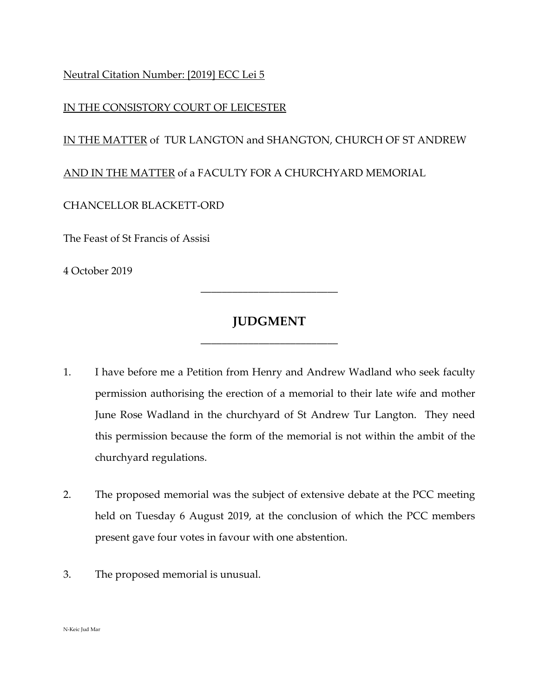## Neutral Citation Number: [2019] ECC Lei 5

#### IN THE CONSISTORY COURT OF LEICESTER

### IN THE MATTER of TUR LANGTON and SHANGTON, CHURCH OF ST ANDREW

#### AND IN THE MATTER of a FACULTY FOR A CHURCHYARD MEMORIAL

#### CHANCELLOR BLACKETT-ORD

The Feast of St Francis of Assisi

4 October 2019

# **JUDGMENT**

\_\_\_\_\_\_\_\_\_\_\_\_\_\_\_\_\_\_\_\_\_\_\_\_\_\_

\_\_\_\_\_\_\_\_\_\_\_\_\_\_\_\_\_\_\_\_\_\_\_\_\_\_

- 1. I have before me a Petition from Henry and Andrew Wadland who seek faculty permission authorising the erection of a memorial to their late wife and mother June Rose Wadland in the churchyard of St Andrew Tur Langton. They need this permission because the form of the memorial is not within the ambit of the churchyard regulations.
- 2. The proposed memorial was the subject of extensive debate at the PCC meeting held on Tuesday 6 August 2019, at the conclusion of which the PCC members present gave four votes in favour with one abstention.
- 3. The proposed memorial is unusual.

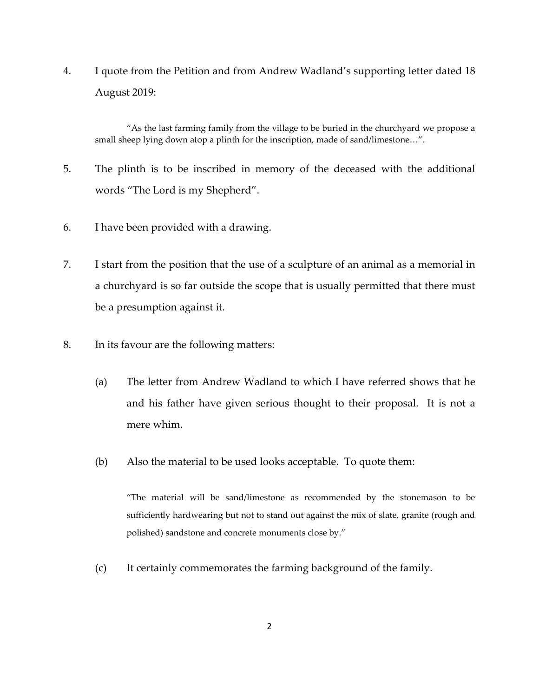4. I quote from the Petition and from Andrew Wadland's supporting letter dated 18 August 2019:

"As the last farming family from the village to be buried in the churchyard we propose a small sheep lying down atop a plinth for the inscription, made of sand/limestone…".

- 5. The plinth is to be inscribed in memory of the deceased with the additional words "The Lord is my Shepherd".
- 6. I have been provided with a drawing.
- 7. I start from the position that the use of a sculpture of an animal as a memorial in a churchyard is so far outside the scope that is usually permitted that there must be a presumption against it.
- 8. In its favour are the following matters:
	- (a) The letter from Andrew Wadland to which I have referred shows that he and his father have given serious thought to their proposal. It is not a mere whim.
	- (b) Also the material to be used looks acceptable. To quote them:

"The material will be sand/limestone as recommended by the stonemason to be sufficiently hardwearing but not to stand out against the mix of slate, granite (rough and polished) sandstone and concrete monuments close by."

(c) It certainly commemorates the farming background of the family.